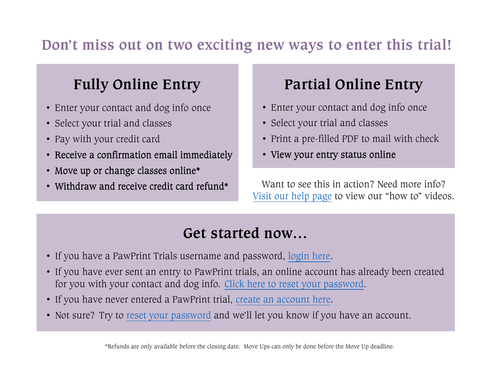## **Don't miss out on two exciting new ways to enter this trial!**

# **Fully Online Entry**

- Enter your contact and dog info once
- Select your trial and classes
- Pay with your credit card
- Receive a confirmation email immediately
- Move up or change classes online\*
- Withdraw and receive credit card refund\*

## **Partial Online Entry**

- Enter your contact and dog info once
- Select your trial and classes
- Print a pre-filled PDF to mail with check
- View your entry status online

Want to see this in action? Need more info?<u>Visit our [help page](https://www.pawprinttrials.com/public/help)</u> to view our "how to" videos.

## **Get started now…**

- If you have a PawPrint Trials username and password, <u>[login here](https://www.pawprinttrials.com/site/login)</u>.
- If you have ever sent an entry to PawPrint trials, an online account has already been created for you with your contact and dog info. <u>Click here [to reset your password](https://www.pawprinttrials.com/site/password1)</u>.
- If you have never entered a PawPrint trial, <u>create an [account here](https://www.pawprinttrials.com/site/register)</u>.
- Not sure? Try to <u>[reset your password](https://www.pawprinttrials.com/site/password1)</u> and we'll let you know if you have an account.

\*Refunds are only available before the closing date. Move Ups can only be done before the Move Up deadline.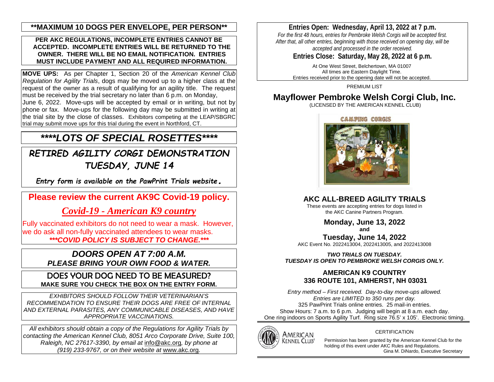## **\*\*MAXIMUM 10 DOGS PER ENVELOPE, PER PERSON\*\***

#### **PER AKC REGULATIONS, INCOMPLETE ENTRIES CANNOT BE ACCEPTED. INCOMPLETE ENTRIES WILL BE RETURNED TO THE OWNER. THERE WILL BE NO EMAIL NOTIFICATION. ENTRIES MUST INCLUDE PAYMENT AND ALL REQUIRED INFORMATION.**

**MOVE UPS:** As per Chapter 1, Section 20 of the *American Kennel Club Regulation for Agility Trials*, dogs may be moved up to a higher class at the request of the owner as a result of qualifying for an agility title. The request must be received by the trial secretary no later than 6 p.m. on Monday,

June 6, 2022. Move-ups will be accepted by email or in writing, but not by phone or fax. Move-ups for the following day may be submitted in writing at the trial site by the close of classes. Exhibitors competing at the LEAP/SBGRC trial may submit move ups for this trial during the event in Northford, CT.

## *\*\*\*\*LOTS OF SPECIAL ROSETTES\*\*\*\**

*RETIRED AGILITY CORGI DEMONSTRATION TUESDAY, JUNE 14*

*Entry form is available on the PawPrint Trials website.*

**Please review the current AK9C Covid-19 policy.**

*Covid-19 - [American K9 country](https://www.americank9country.com/about-us/covid-19/)*

Fully vaccinated exhibitors do not need to wear a mask. However, we do ask all non-fully vaccinated attendees to wear masks. *\*\*\*COVID POLICY IS SUBJECT TO CHANGE.\*\*\**

## *DOORS OPEN AT 7:00 A.M. PLEASE BRING YOUR OWN FOOD & WATER.*

DOES YOUR DOG NEED TO BE MEASURED? **MAKE SURE YOU CHECK THE BOX ON THE ENTRY FORM.**

*EXHIBITORS SHOULD FOLLOW THEIR VETERINARIAN'S RECOMMENDATION TO ENSURE THEIR DOGS ARE FREE OF INTERNAL AND EXTERNAL PARASITES, ANY COMMUNICABLE DISEASES, AND HAVE APPROPRIATE VACCINATIONS.*

*All exhibitors should obtain a copy of the Regulations for Agility Trials by contacting the American Kennel Club, 8051 Arco Corporate Drive, Suite 100, Raleigh, NC 27617-3390, by email at* [info@akc.org](mailto:info@akc.org)*, by phone at (919) 233-9767, or on their website at* [www.akc.org](http://www.akc.org/)*.*

## **Entries Open: Wednesday, April 13, 2022 at 7 p.m.**

*For the first 48 hours, entries for Pembroke Welsh Corgis will be accepted first. After that, all other entries, beginning with those received on opening day, will be accepted and processed in the order received.* 

**Entries Close: Saturday, May 28, 2022 at 6 p.m.**

At One West Street, Belchertown, MA 01007 All times are Eastern Daylight Time. Entries received prior to the opening date will not be accepted.

PREMIUM LIST

## **Mayflower Pembroke Welsh Corgi Club, Inc.**

(LICENSED BY THE AMERICAN KENNEL CLUB)





## **AKC ALL-BREED AGILITY TRIALS**

These events are accepting entries for dogs listed in the AKC Canine Partners Program.

**Monday, June 13, 2022**

**and**

**Tuesday, June 14, 2022** AKC Event No. 2022413004, 2022413005, and 2022413008

*TWO TRIALS ON TUESDAY. TUESDAY IS OPEN TO PEMBROKE WELSH CORGIS ONLY.*

## **AMERICAN K9 COUNTRY 336 ROUTE 101, AMHERST, NH 03031**

*Entry method – First received. Day-to-day move-ups allowed. Entries are LIMITED to 350 runs per day.*  325 PawPrint Trials online entries. 25 mail-in entries. Show Hours: 7 a.m. to 6 p.m. Judging will begin at 8 a.m. each day. One ring indoors on Sports Agility Turf. Ring size 76.5' x 105'. Electronic timing.



#### CERTIFICATION

Permission has been granted by the American Kennel Club for the holding of this event under AKC Rules and Regulations. Gina M. DiNardo, Executive Secretary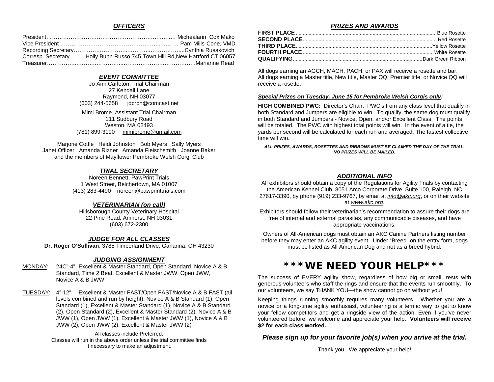#### *OFFICERS*

| Corresp. SecretaryHolly Bunn Russo 745 Town Hill Rd, New Hartford, CT 06057 |  |
|-----------------------------------------------------------------------------|--|
|                                                                             |  |

#### *EVENT COMMITTEE*

Jo Ann Carleton, Trial Chairman 27 Kendall Lane Raymond, NH 03077 (603) 244-5658 [jdcrph@comcast.net](mailto:jdcrph@comcast.net)

Mimi Brome, Assistant Trial Chairman 111 Sudbury Road Weston, MA 02493 (781) 899-3190 [mimibrome@gmail.com](mailto:mimibrome@gmail.com)

Marjorie Cottle Heidi Johnston Bob Myers Sally Myers Janet Officer Amanda Rizner Amanda Fleischsmith Joanne Baker and the members of Mayflower Pembroke Welsh Corgi Club

#### *TRIAL SECRETARY*

Noreen Bennett, PawPrint Trials 1 West Street, Belchertown, MA 01007 (413) 283-4490 noreen@pawprinttrials.com

#### *VETERINARIAN (on call)*

Hillsborough County Veterinary Hospital 22 Pine Road, Amherst, NH 03031 (603) 672-2300

#### *JUDGE FOR ALL CLASSES*

**Dr. Roger O'Sullivan**, 3785 Timberland Drive, Gahanna, OH 43230

#### *JUDGING ASSIGNMENT*

MONDAY: 24C"-4" Excellent & Master Standard, Open Standard, Novice A & B Standard, Time 2 Beat, Excellent & Master JWW, Open JWW, Novice A & B JWW

TUESDAY: 4"-12" Excellent & Master FAST/Open FAST/Novice A & B FAST (all levels combined and run by height), Novice A & B Standard (1), Open Standard (1), Excellent & Master Standard (1), Novice A & B Standard (2), Open Standard (2), Excellent & Master Standard (2), Novice A & B JWW (1), Open JWW (1), Excellent & Master JWW (1), Novice A & B JWW (2), Open JWW (2), Excellent & Master JWW (2)

> All classes include Preferred. Classes will run in the above order unless the trial committee finds it necessary to make an adjustment.

#### *PRIZES AND AWARDS*

All dogs earning an AGCH, MACH, PACH, or PAX will receive a rosette and bar. All dogs earning a Master title, New title, Master QQ, Premier title, or Novice QQ will receive a rosette.

#### *Special Prizes on Tuesday, June 15 for Pembroke Welsh Corgis only:*

**HIGH COMBINED PWC:** Director's Chair. PWC's from any class level that qualify in both Standard and Jumpers are eligible to win. To qualify, the same dog must qualify in both Standard and Jumpers - Novice, Open, and/or Excellent Class. The points will be totaled. The PWC with highest total points will win. In the event of a tie, the yards per second will be calculated for each run and averaged. The fastest collective time will win.

*ALL PRIZES, AWARDS, ROSETTES AND RIBBONS MUST BE CLAIMED THE DAY OF THE TRIAL. NO PRIZES WILL BE MAILED.*

#### *ADDITIONAL INFO*

All exhibitors should obtain a copy of the Regulations for Agility Trials by contacting the American Kennel Club, 8051 Arco Corporate Drive, Suite 100, Raleigh, NC 27617-3390, by phone (919) 233-9767, by email at *[info@akc.org](mailto:info@akc.org)*, or on their website at *[www.akc.org](http://www.akc.org/)*.

Exhibitors should follow their veterinarian's recommendation to assure their dogs are free of internal and external parasites, any communicable diseases, and have appropriate vaccinations.

Owners of All-American dogs must obtain an AKC Canine Partners listing number before they may enter an AKC agility event. Under "Breed" on the entry form, dogs must be listed as All American Dog and not as a breed hybrid.

## **\*\*\*WE NEED YOUR HELP\*\*\***

The success of EVERY agility show, regardless of how big or small, rests with generous volunteers who staff the rings and ensure that the events run smoothly. To our volunteers, we say THANK YOU—the show cannot go on without you!

Keeping things running smoothly requires many volunteers. Whether you are a novice or a long-time agility enthusiast, volunteering is a terrific way to get to know your fellow competitors and get a ringside view of the action. Even if you've never volunteered before, we welcome and appreciate your help. **Volunteers will receive \$2 for each class worked.**

#### *Please sign up for your favorite job(s) when you arrive at the trial.*

Thank you. We appreciate your help!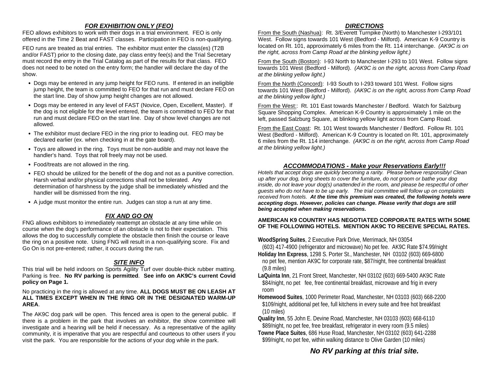#### *FOR EXHIBITION ONLY (FEO)*

FEO allows exhibitors to work with their dogs in a trial environment. FEO is only offered in the Time 2 Beat and FAST classes. Participation in FEO is non-qualifying.

FEO runs are treated as trial entries. The exhibitor must enter the class(es) (T2B and/or FAST) prior to the closing date, pay class entry fee(s) and the Trial Secretary must record the entry in the Trial Catalog as part of the results for that class. FEO does not need to be noted on the entry form; the handler will declare the day of the show.

- Dogs may be entered in any jump height for FEO runs. If entered in an ineligible jump height, the team is committed to FEO for that run and must declare FEO on the start line. Day of show jump height changes are not allowed.
- Dogs may be entered in any level of FAST (Novice, Open, Excellent, Master). If the dog is not eligible for the level entered, the team is committed to FEO for that run and must declare FEO on the start line. Day of show level changes are not allowed.
- The exhibitor must declare FEO in the ring prior to leading out. FEO may be declared earlier (ex. when checking in at the gate board).
- Toys are allowed in the ring. Toys must be non-audible and may not leave the handler's hand. Toys that roll freely may not be used.
- Food/treats are not allowed in the ring.
- FEO should be utilized for the benefit of the dog and not as a punitive correction. Harsh verbal and/or physical corrections shall not be tolerated. Any determination of harshness by the judge shall be immediately whistled and the handler will be dismissed from the ring.
- A judge must monitor the entire run. Judges can stop a run at any time.

### *FIX AND GO ON*

FNG allows exhibitors to immediately reattempt an obstacle at any time while on course when the dog's performance of an obstacle is not to their expectation. This allows the dog to successfully complete the obstacle then finish the course or leave the ring on a positive note. Using FNG will result in a non-qualifying score. Fix and Go On is not pre-entered; rather, it occurs during the run.

### *SITE INFO*

This trial will be held indoors on Sports Agility Turf over double-thick rubber matting. Parking is free. **No RV parking is permitted**. **See info on AK9C's current Covid policy on Page 1.**

#### No practicing in the ring is allowed at any time. **ALL DOGS MUST BE ON LEASH AT ALL TIMES EXCEPT WHEN IN THE RING OR IN THE DESIGNATED WARM-UP AREA**.

The AK9C dog park will be open. This fenced area is open to the general public. If there is a problem in the park that involves an exhibitor, the show committee will investigate and a hearing will be held if necessary. As a representative of the agility community, it is imperative that you are respectful and courteous to other users if you visit the park. You are responsible for the actions of your dog while in the park.

#### *DIRECTIONS*

From the South (Nashua): Rt. 3/Everett Turnpike (North) to Manchester I-293/101 West. Follow signs towards 101 West (Bedford - Milford).American K-9 Country is located on Rt. 101, approximately 6 miles from the Rt. 114 interchange. *(AK9C is on the right, across from Camp Road at the blinking yellow light.)*

From the South (Boston): I-93 North to Manchester I-293 to 101 West. Follow signs towards 101 West (Bedford - Milford). *(AK9C is on the right, across from Camp Road at the blinking yellow light.)*

From the North (Concord): I-93 South to I-293 toward 101 West. Follow signs towards 101 West (Bedford - Milford). *(AK9C is on the right, across from Camp Road at the blinking yellow light.)*

From the West:: Rt. 101 East towards Manchester / Bedford. Watch for Salzburg Square Shopping Complex. American K-9 Country is approximately 1 mile on the left, passed Salzburg Square, at blinking yellow light across from Camp Road.

From the East Coast: Rt. 101 West towards Manchester / Bedford. Follow Rt. 101 West (Bedford - Milford). American K-9 Country is located on Rt. 101, approximately 6 miles from the Rt. 114 interchange. *(AK9C is on the right, across from Camp Road at the blinking yellow light.)*

### *ACCOMMODATIONS - Make your Reservations Early!!!*

*Hotels that accept dogs are quickly becoming a rarity. Please behave responsibly! Clean up after your dog, bring sheets to cover the furniture, do not groom or bathe your dog inside, do not leave your dog(s) unattended in the room, and please be respectful of other guests who do not have to be up early. The trial committee will follow up on complaints received from hotels. At the time this premium was created, the following hotels were accepting dogs. However, policies can change. Please verify that dogs are still being accepted when making reservations.*

#### **AMERICAN K9 COUNTRY HAS NEGOTIATED CORPORATE RATES WITH SOME OF THE FOLLOWING HOTELS. MENTION AK9C TO RECEIVE SPECIAL RATES.**

**WoodSpring Suites**, 2 Executive Park Drive, Merrimack, NH 03054

 (603) 417-4900 (refrigerator and microwave) No pet fee. AK9C Rate \$74.99/night **Holiday Inn Express**, 1298 S. Porter St., Manchester, NH 03102 (603) 669-6800

- no pet fee, mention AK9C for corporate rate, \$87/night, free continental breakfast (9.8 miles)
- **LaQuinta Inn**, 21 Front Street, Manchester, NH 03102 (603) 669-5400 AK9C Rate \$84/night, no pet fee, free continental breakfast, microwave and frig in every room
- **Homewood Suites**, 1000 Perimeter Road, Manchester, NH 03103 (603) 668-2200 \$109/night, additional pet fee, full kitchens in every suite and free hot breakfast (10 miles)
- **Quality Inn**, 55 John E. Devine Road, Manchester, NH 03103 (603) 668-6110 \$89/night, no pet fee, free breakfast, refrigerator in every room (9.5 miles)
- **Towne Place Suites**, 686 Huse Road, Manchester, NH 03102 (603) 641-2288 \$99/night, no pet fee, within walking distance to Olive Garden (10 miles)

## *No RV parking at this trial site.*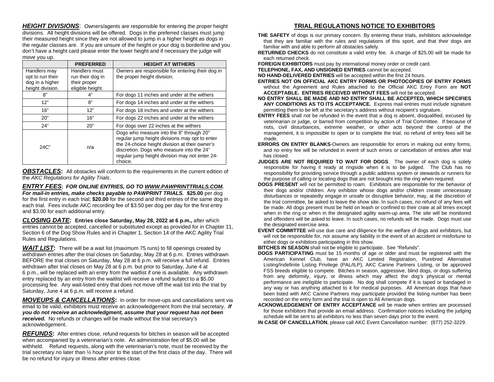*HEIGHT DIVISIONS*: Owners/agents are responsible for entering the proper height divisions. All height divisions will be offered. Dogs in the preferred classes must jump their measured height since they are not allowed to jump in a higher height as dogs in the regular classes are. If you are unsure of the height or your dog is borderline and you don't have a height card please enter the lower height and if necessary the judge will move you up.

|                                                                         | <b>PREFERRED</b>                                                      | <b>HEIGHT AT WITHERS</b>                                                                                                                                                                                                                               |
|-------------------------------------------------------------------------|-----------------------------------------------------------------------|--------------------------------------------------------------------------------------------------------------------------------------------------------------------------------------------------------------------------------------------------------|
| Handlers may<br>opt to run their<br>dog in a higher<br>height division. | Handlers must<br>run their dog in<br>their proper<br>eligible height. | Owners are responsible for entering their dog in<br>the proper height division.                                                                                                                                                                        |
| 8"                                                                      | 4"                                                                    | For dogs 11 inches and under at the withers                                                                                                                                                                                                            |
| 12"                                                                     | 8"                                                                    | For dogs 14 inches and under at the withers                                                                                                                                                                                                            |
| 16"                                                                     | 12"                                                                   | For dogs 18 inches and under at the withers                                                                                                                                                                                                            |
| 20"                                                                     | 16"                                                                   | For dogs 22 inches and under at the withers                                                                                                                                                                                                            |
| 24"                                                                     | 20"                                                                   | For dogs over 22 inches at the withers                                                                                                                                                                                                                 |
| $24C$ "                                                                 | n/a                                                                   | Dogs who measure into the 8" through 20"<br>regular jump height divisions may opt to enter<br>the 24-choice height division at their owner's<br>discretion. Dogs who measure into the 24"<br>regular jump height division may not enter 24-<br>choice. |

**OBSTACLES:** All obstacles will conform to the requirements in the current edition of the *AKC Regulations for Agility Trials*.

*ENTRY FEES***:** *FOR ONLINE ENTRIES, GO TO [WWW.PAWPRINTTRIALS.COM.](http://www.pawprinttrials.com/) For mail-in entries, make checks payable to PAWPRINT TRIALS.* **\$25.00** per dog for the first entry in each trial; **\$20.00** for the second and third entries of the same dog in each trial. Fees include AKC recording fee of \$3.50 per dog per day for the first entry and \$3.00 for each additional entry.

*CLOSING DATE***: Entries close Saturday, May 28, 2022 at 6 p.m.,** after which entries cannot be accepted, cancelled or substituted except as provided for in Chapter 11, Section 6 of the Dog Show Rules and in Chapter 1, Section 14 of the AKC Agility Trial Rules and Regulations.

**WAIT LIST:** There will be a wait list (maximum 75 runs) to fill openings created by withdrawn entries after the trial closes on Saturday, May 28 at 6 p.m. Entries withdrawn BEFORE the trial closes on Saturday, May 28 at 6 p.m. will receive a full refund. Entries withdrawn after trial closes on May 28 at 6 p.m. but prior to Saturday, June 4 at 6 p.m., will be replaced with an entry from the waitlist if one is available. Any withdrawn entry replaced by an entry from the waitlist will receive a refund subject to a \$5.00 processing fee. Any wait-listed entry that does not move off the wait list into the trial by Saturday, June 4 at 6 p.m. will receive a refund.

*MOVEUPS & CANCELLATIONS***:** In order for move-ups and cancellations sent via email to be valid, exhibitors must receive an acknowledgement from the trial secretary. *If you do not receive an acknowledgment, assume that your request has not been received.* No refunds or changes will be made without the trial secretary's acknowledgement.

*REFUNDS***:** After entries close, refund requests for bitches in season will be accepted when accompanied by a veterinarian's note. An administration fee of \$5.00 will be withheld. Refund requests, along with the veterinarian's note, must be received by the trial secretary no later than ½ hour prior to the start of the first class of the day. There will be no refund for injury or illness after entries close.

### **TRIAL REGULATIONS NOTICE TO EXHIBITORS**

- **THE SAFETY** of dogs is our primary concern. By entering these trials, exhibitors acknowledge that they are familiar with the rules and regulations of this sport, and that their dogs are familiar with and able to perform all obstacles safely.
- **RETURNED CHECKS** do not constitute a valid entry fee. A charge of \$25.00 will be made for each returned check.

**FOREIGN EXHIBITORS** must pay by international money order or credit card.

**TELEPHONE, FAX, AND UNSIGNED ENTRIES** cannot be accepted.

**NO HAND-DELIVERED ENTRIES** will be accepted within the first 24 hours.

- **ENTRIES NOT ON OFFICIAL AKC ENTRY FORMS OR PHOTOCOPIES OF ENTRY FORMS** without the Agreement and Rules attached to the Official AKC Entry Form are **NOT ACCEPTABLE. ENTRIES RECEIVED WITHOUT FEES** will not be accepted.
- **NO ENTRY SHALL BE MADE AND NO ENTRY SHALL BE ACCEPTED, WHICH SPECIFIES ANY CONDITIONS AS TO ITS ACCEPTANCE.** Express mail entries must include signature permitting them to be left at the secretary's address without recipient's signature.
- **ENTRY FEES** shall not be refunded in the event that a dog is absent, disqualified, excused by veterinarian or judge, or barred from competition by action of Trial Committee. If because of riots, civil disturbances, extreme weather, or other acts beyond the control of the management, it is impossible to open or to complete the trial, no refund of entry fees will be made.
- **ERRORS ON ENTRY BLANKS**-Owners are responsible for errors in making out entry forms, and no entry fee will be refunded in event of such errors or cancellation of entries after trial has closed.
- **JUDGES ARE NOT REQUIRED TO WAIT FOR DOGS**. The owner of each dog is solely responsible for having it ready at ringside when it is to be judged. The Club has no responsibility for providing service through a public address system or stewards or runners for the purpose of calling or locating dogs that are not brought into the ring when required.
- **DOGS PRESENT** will not be permitted to roam. Exhibitors are responsible for the behavior of their dogs and/or children. Any exhibitor whose dogs and/or children create unnecessary disturbances or repeatedly engage in unsafe or disruptive behavior, may, at the discretion of the trial committee, be asked to leave the show site. In such cases, no refund of any fees will be made. All dogs present must be held on leash or confined to their crate at all times except when in the ring or when in the designated agility warm-up area. The site will be monitored and offenders will be asked to leave. In such cases, no refunds will be made. Dogs must use the designated exercise area.
- **EVENT COMMITTEE** will use due care and diligence for the welfare of dogs and exhibitors, but will not be responsible for, nor assume any liability in the event of an accident or misfortune to either dogs or exhibitors participating in this show.

**BITCHES IN SEASON** shall not be eligible to participate. See "Refunds".

**DOGS PARTICIPATING** must be 15 months of age or older and must be registered with the American Kennel Club, have an AKC Limited Registration, Purebred Alternative Listing/Indefinite Listing Privilege (PAL/ILP), AKC Canine Partners Listing, or be approved FSS breeds eligible to compete. Bitches in season, aggressive, blind dogs, or dogs suffering from any deformity, injury, or illness which may affect the dog's physical or mental performance are ineligible to participate. No dog shall compete if it is taped or bandaged in any way or has anything attached to it for medical purposes. All American dogs that have been listed with AKC Canine Partners may participate provided the listing number has been recorded on the entry form and the trial is open to All American dogs.

**ACKNOWLEDGEMENT OF ENTRY ACCEPTANCE** will be made when entries are processed for those exhibitors that provide an email address. Confirmation notices including the judging schedule will be sent to all exhibitors no less than seven days prior to the event.

**IN CASE OF CANCELLATION**, please call AKC Event Cancellation number: (877) 252-3229.